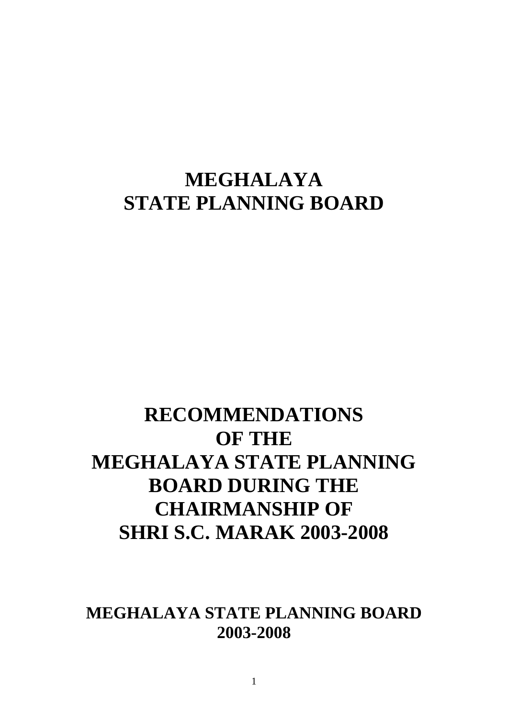# **MEGHALAYA STATE PLANNING BOARD**

# **RECOMMENDATIONS OF THE MEGHALAYA STATE PLANNING BOARD DURING THE CHAIRMANSHIP OF SHRI S.C. MARAK 2003-2008**

**MEGHALAYA STATE PLANNING BOARD 2003-2008**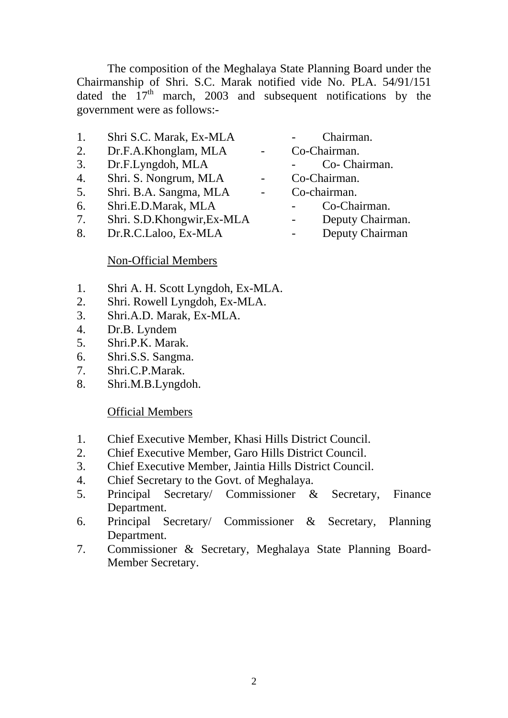The composition of the Meghalaya State Planning Board under the Chairmanship of Shri. S.C. Marak notified vide No. PLA. 54/91/151 dated the  $17<sup>th</sup>$  march, 2003 and subsequent notifications by the government were as follows:-

- 1. Shri S.C. Marak, Ex-MLA Chairman.
- 2. Dr.F.A.Khonglam, MLA Co-Chairman.
- 3. Dr.F.Lyngdoh, MLA Co- Chairman.
- 4. Shri. S. Nongrum, MLA Co-Chairman.
- 5. Shri. B.A. Sangma, MLA Co-chairman.
- 6. Shri.E.D.Marak, MLA Co-Chairman.
- 7. Shri. S.D.Khongwir,Ex-MLA Deputy Chairman.<br>8. Dr.R.C.Laloo, Ex-MLA Deputy Chairman
- 8. Dr.R.C.Laloo, Ex-MLA -
- 
- -
- 
- -
	- -

#### Non-Official Members

- 1. Shri A. H. Scott Lyngdoh, Ex-MLA.
- 2. Shri. Rowell Lyngdoh, Ex-MLA.
- 3. Shri.A.D. Marak, Ex-MLA.
- 4. Dr.B. Lyndem
- 5. Shri.P.K. Marak.
- 6. Shri.S.S. Sangma.
- 7. Shri.C.P.Marak.
- 8. Shri.M.B.Lyngdoh.

#### Official Members

- 1. Chief Executive Member, Khasi Hills District Council.
- 2. Chief Executive Member, Garo Hills District Council.
- 3. Chief Executive Member, Jaintia Hills District Council.
- 4. Chief Secretary to the Govt. of Meghalaya.
- 5. Principal Secretary/ Commissioner & Secretary, Finance Department.
- 6. Principal Secretary/ Commissioner & Secretary, Planning Department.
- 7. Commissioner & Secretary, Meghalaya State Planning Board- Member Secretary.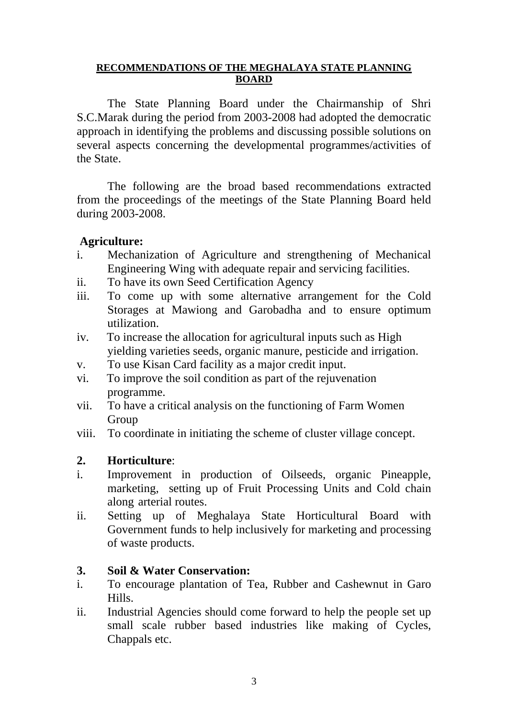#### **RECOMMENDATIONS OF THE MEGHALAYA STATE PLANNING BOARD**

 The State Planning Board under the Chairmanship of Shri S.C.Marak during the period from 2003-2008 had adopted the democratic approach in identifying the problems and discussing possible solutions on several aspects concerning the developmental programmes/activities of the State.

 The following are the broad based recommendations extracted from the proceedings of the meetings of the State Planning Board held during 2003-2008.

#### **Agriculture:**

- i. Mechanization of Agriculture and strengthening of Mechanical Engineering Wing with adequate repair and servicing facilities.
- ii. To have its own Seed Certification Agency
- iii. To come up with some alternative arrangement for the Cold Storages at Mawiong and Garobadha and to ensure optimum utilization.
- iv. To increase the allocation for agricultural inputs such as High yielding varieties seeds, organic manure, pesticide and irrigation.
- v. To use Kisan Card facility as a major credit input.
- vi. To improve the soil condition as part of the rejuvenation programme.
- vii. To have a critical analysis on the functioning of Farm Women Group
- viii. To coordinate in initiating the scheme of cluster village concept.

## **2. Horticulture**:

- i. Improvement in production of Oilseeds, organic Pineapple, marketing, setting up of Fruit Processing Units and Cold chain along arterial routes.
- ii. Setting up of Meghalaya State Horticultural Board with Government funds to help inclusively for marketing and processing of waste products.

## **3. Soil & Water Conservation:**

- i. To encourage plantation of Tea, Rubber and Cashewnut in Garo Hills.
- ii. Industrial Agencies should come forward to help the people set up small scale rubber based industries like making of Cycles, Chappals etc.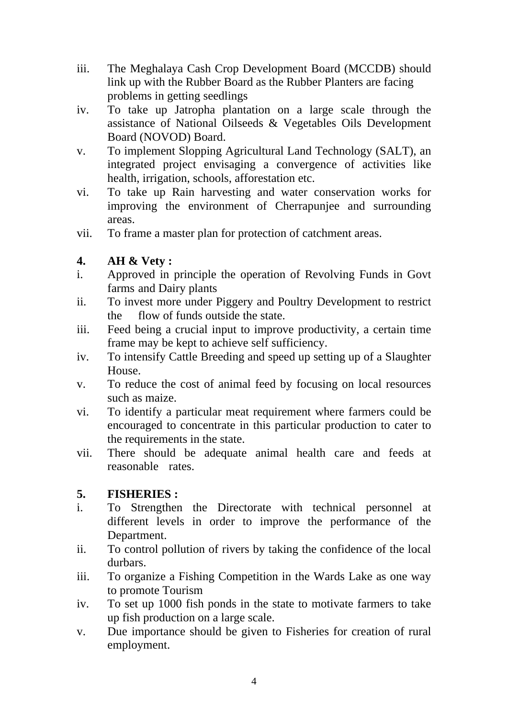- iii. The Meghalaya Cash Crop Development Board (MCCDB) should link up with the Rubber Board as the Rubber Planters are facing problems in getting seedlings
- iv. To take up Jatropha plantation on a large scale through the assistance of National Oilseeds & Vegetables Oils Development Board (NOVOD) Board.
- v. To implement Slopping Agricultural Land Technology (SALT), an integrated project envisaging a convergence of activities like health, irrigation, schools, afforestation etc.
- vi. To take up Rain harvesting and water conservation works for improving the environment of Cherrapunjee and surrounding areas.
- vii. To frame a master plan for protection of catchment areas.

## **4. AH & Vety :**

- i. Approved in principle the operation of Revolving Funds in Govt farms and Dairy plants
- ii. To invest more under Piggery and Poultry Development to restrict the flow of funds outside the state.
- iii. Feed being a crucial input to improve productivity, a certain time frame may be kept to achieve self sufficiency.
- iv. To intensify Cattle Breeding and speed up setting up of a Slaughter House.
- v. To reduce the cost of animal feed by focusing on local resources such as maize.
- vi. To identify a particular meat requirement where farmers could be encouraged to concentrate in this particular production to cater to the requirements in the state.
- vii. There should be adequate animal health care and feeds at reasonable rates.

## **5. FISHERIES :**

- i. To Strengthen the Directorate with technical personnel at different levels in order to improve the performance of the Department.
- ii. To control pollution of rivers by taking the confidence of the local durbars.
- iii. To organize a Fishing Competition in the Wards Lake as one way to promote Tourism
- iv. To set up 1000 fish ponds in the state to motivate farmers to take up fish production on a large scale.
- v. Due importance should be given to Fisheries for creation of rural employment.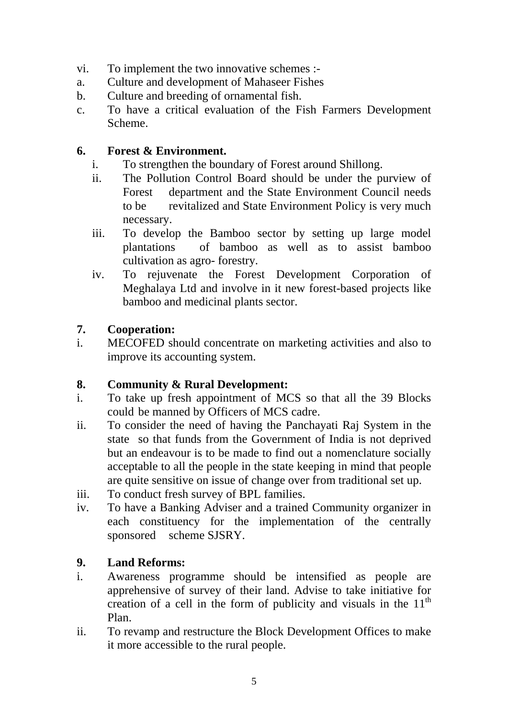- vi. To implement the two innovative schemes :-
- a. Culture and development of Mahaseer Fishes
- b. Culture and breeding of ornamental fish.
- c. To have a critical evaluation of the Fish Farmers Development Scheme.

#### **6. Forest & Environment.**

- i. To strengthen the boundary of Forest around Shillong.
- ii. The Pollution Control Board should be under the purview of Forest department and the State Environment Council needs to be revitalized and State Environment Policy is very much necessary.
- iii. To develop the Bamboo sector by setting up large model plantations of bamboo as well as to assist bamboo cultivation as agro- forestry.
- iv. To rejuvenate the Forest Development Corporation of Meghalaya Ltd and involve in it new forest-based projects like bamboo and medicinal plants sector.

## **7. Cooperation:**

i. MECOFED should concentrate on marketing activities and also to improve its accounting system.

## **8. Community & Rural Development:**

- i. To take up fresh appointment of MCS so that all the 39 Blocks could be manned by Officers of MCS cadre.
- ii. To consider the need of having the Panchayati Raj System in the state so that funds from the Government of India is not deprived but an endeavour is to be made to find out a nomenclature socially acceptable to all the people in the state keeping in mind that people are quite sensitive on issue of change over from traditional set up.
- iii. To conduct fresh survey of BPL families.
- iv. To have a Banking Adviser and a trained Community organizer in each constituency for the implementation of the centrally sponsored scheme SJSRY.

## **9. Land Reforms:**

- i. Awareness programme should be intensified as people are apprehensive of survey of their land. Advise to take initiative for creation of a cell in the form of publicity and visuals in the  $11<sup>th</sup>$ Plan.
- ii. To revamp and restructure the Block Development Offices to make it more accessible to the rural people.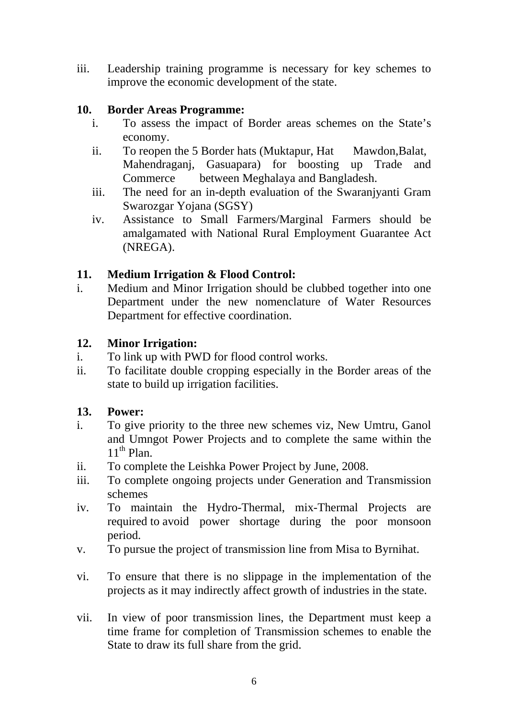iii. Leadership training programme is necessary for key schemes to improve the economic development of the state.

#### **10. Border Areas Programme:**

- i. To assess the impact of Border areas schemes on the State's economy.
- ii. To reopen the 5 Border hats (Muktapur, Hat Mawdon, Balat, Mahendraganj, Gasuapara) for boosting up Trade and Commerce between Meghalaya and Bangladesh.
- iii. The need for an in-depth evaluation of the Swaranjyanti Gram Swarozgar Yojana (SGSY)
- iv. Assistance to Small Farmers/Marginal Farmers should be amalgamated with National Rural Employment Guarantee Act (NREGA).

#### **11. Medium Irrigation & Flood Control:**

i. Medium and Minor Irrigation should be clubbed together into one Department under the new nomenclature of Water Resources Department for effective coordination.

#### **12. Minor Irrigation:**

- i. To link up with PWD for flood control works.
- ii. To facilitate double cropping especially in the Border areas of the state to build up irrigation facilities.

#### **13. Power:**

- i. To give priority to the three new schemes viz, New Umtru, Ganol and Umngot Power Projects and to complete the same within the  $11^{th}$  Plan.
- ii. To complete the Leishka Power Project by June, 2008.
- iii. To complete ongoing projects under Generation and Transmission schemes
- iv. To maintain the Hydro-Thermal, mix-Thermal Projects are required to avoid power shortage during the poor monsoon period.
- v. To pursue the project of transmission line from Misa to Byrnihat.
- vi. To ensure that there is no slippage in the implementation of the projects as it may indirectly affect growth of industries in the state.
- vii. In view of poor transmission lines, the Department must keep a time frame for completion of Transmission schemes to enable the State to draw its full share from the grid.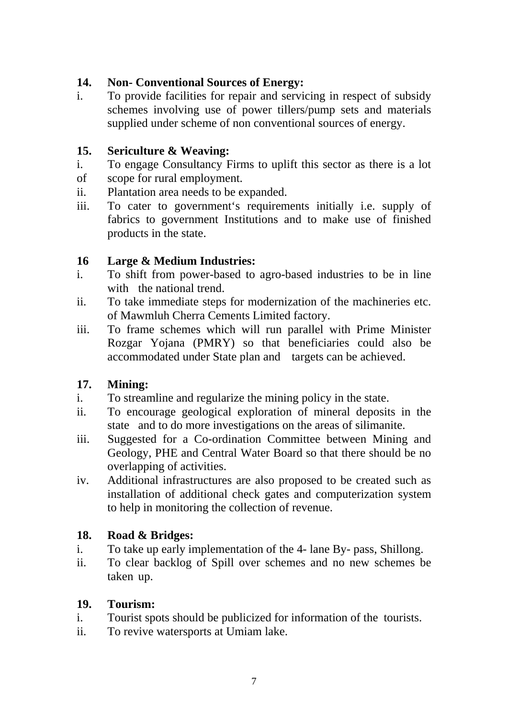## **14. Non- Conventional Sources of Energy:**

i. To provide facilities for repair and servicing in respect of subsidy schemes involving use of power tillers/pump sets and materials supplied under scheme of non conventional sources of energy.

## **15. Sericulture & Weaving:**

- i. To engage Consultancy Firms to uplift this sector as there is a lot of scope for rural employment.
- ii. Plantation area needs to be expanded.
- iii. To cater to government's requirements initially i.e. supply of fabrics to government Institutions and to make use of finished products in the state.

## **16 Large & Medium Industries:**

- i. To shift from power-based to agro-based industries to be in line with the national trend.
- ii. To take immediate steps for modernization of the machineries etc. of Mawmluh Cherra Cements Limited factory.
- iii. To frame schemes which will run parallel with Prime Minister Rozgar Yojana (PMRY) so that beneficiaries could also be accommodated under State plan and targets can be achieved.

## **17. Mining:**

- i. To streamline and regularize the mining policy in the state.
- ii. To encourage geological exploration of mineral deposits in the state and to do more investigations on the areas of silimanite.
- iii. Suggested for a Co-ordination Committee between Mining and Geology, PHE and Central Water Board so that there should be no overlapping of activities.
- iv. Additional infrastructures are also proposed to be created such as installation of additional check gates and computerization system to help in monitoring the collection of revenue.

## **18. Road & Bridges:**

- i. To take up early implementation of the 4- lane By- pass, Shillong.
- ii. To clear backlog of Spill over schemes and no new schemes be taken up.

## **19. Tourism:**

- i. Tourist spots should be publicized for information of the tourists.
- ii. To revive watersports at Umiam lake.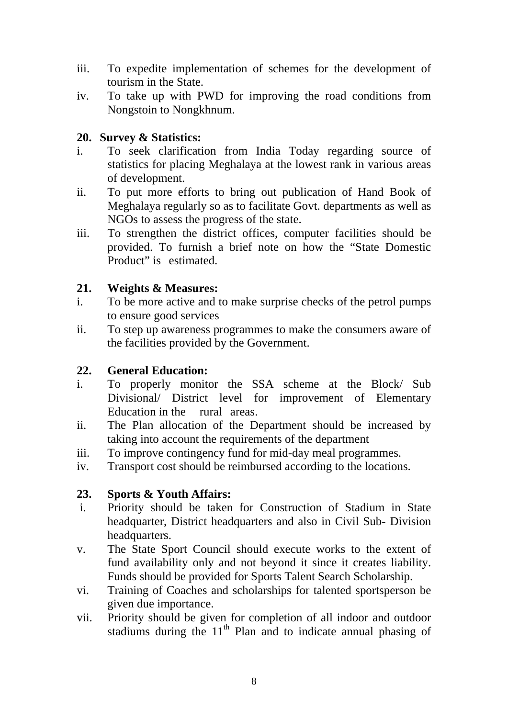- iii. To expedite implementation of schemes for the development of tourism in the State.
- iv. To take up with PWD for improving the road conditions from Nongstoin to Nongkhnum.

#### **20. Survey & Statistics:**

- i. To seek clarification from India Today regarding source of statistics for placing Meghalaya at the lowest rank in various areas of development.
- ii. To put more efforts to bring out publication of Hand Book of Meghalaya regularly so as to facilitate Govt. departments as well as NGOs to assess the progress of the state.
- iii. To strengthen the district offices, computer facilities should be provided. To furnish a brief note on how the "State Domestic Product" is estimated.

#### **21. Weights & Measures:**

- i. To be more active and to make surprise checks of the petrol pumps to ensure good services
- ii. To step up awareness programmes to make the consumers aware of the facilities provided by the Government.

#### **22. General Education:**

- i. To properly monitor the SSA scheme at the Block/ Sub Divisional/ District level for improvement of Elementary Education in the rural areas.
- ii. The Plan allocation of the Department should be increased by taking into account the requirements of the department
- iii. To improve contingency fund for mid-day meal programmes.
- iv. Transport cost should be reimbursed according to the locations.

#### **23. Sports & Youth Affairs:**

- i. Priority should be taken for Construction of Stadium in State headquarter, District headquarters and also in Civil Sub- Division headquarters.
- v. The State Sport Council should execute works to the extent of fund availability only and not beyond it since it creates liability. Funds should be provided for Sports Talent Search Scholarship.
- vi. Training of Coaches and scholarships for talented sportsperson be given due importance.
- vii. Priority should be given for completion of all indoor and outdoor stadiums during the  $11<sup>th</sup>$  Plan and to indicate annual phasing of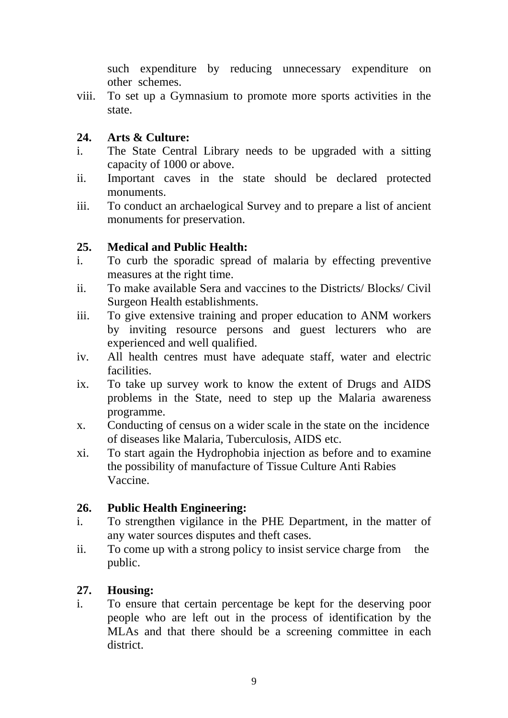such expenditure by reducing unnecessary expenditure on other schemes.

viii. To set up a Gymnasium to promote more sports activities in the state.

#### **24. Arts & Culture:**

- i. The State Central Library needs to be upgraded with a sitting capacity of 1000 or above.
- ii. Important caves in the state should be declared protected monuments.
- iii. To conduct an archaelogical Survey and to prepare a list of ancient monuments for preservation.

#### **25. Medical and Public Health:**

- i. To curb the sporadic spread of malaria by effecting preventive measures at the right time.
- ii. To make available Sera and vaccines to the Districts/ Blocks/ Civil Surgeon Health establishments.
- iii. To give extensive training and proper education to ANM workers by inviting resource persons and guest lecturers who are experienced and well qualified.
- iv. All health centres must have adequate staff, water and electric facilities.
- ix. To take up survey work to know the extent of Drugs and AIDS problems in the State, need to step up the Malaria awareness programme.
- x. Conducting of census on a wider scale in the state on the incidence of diseases like Malaria, Tuberculosis, AIDS etc.
- xi. To start again the Hydrophobia injection as before and to examine the possibility of manufacture of Tissue Culture Anti Rabies Vaccine.

#### **26. Public Health Engineering:**

- i. To strengthen vigilance in the PHE Department, in the matter of any water sources disputes and theft cases.
- ii. To come up with a strong policy to insist service charge from the public.

## **27. Housing:**

i. To ensure that certain percentage be kept for the deserving poor people who are left out in the process of identification by the MLAs and that there should be a screening committee in each district.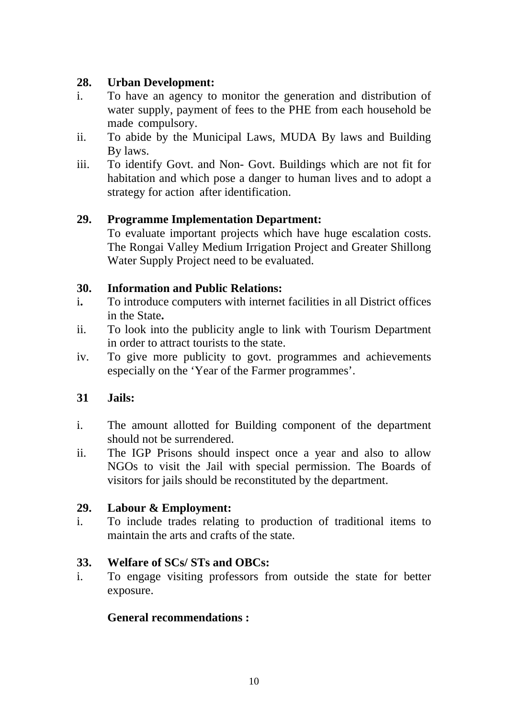#### **28. Urban Development:**

- i. To have an agency to monitor the generation and distribution of water supply, payment of fees to the PHE from each household be made compulsory.
- ii. To abide by the Municipal Laws, MUDA By laws and Building By laws.
- iii. To identify Govt. and Non- Govt. Buildings which are not fit for habitation and which pose a danger to human lives and to adopt a strategy for action after identification.

## **29. Programme Implementation Department:**

To evaluate important projects which have huge escalation costs. The Rongai Valley Medium Irrigation Project and Greater Shillong Water Supply Project need to be evaluated.

#### **30. Information and Public Relations:**

- i**.** To introduce computers with internet facilities in all District offices in the State**.**
- ii. To look into the publicity angle to link with Tourism Department in order to attract tourists to the state.
- iv. To give more publicity to govt. programmes and achievements especially on the 'Year of the Farmer programmes'.

## **31 Jails:**

- i. The amount allotted for Building component of the department should not be surrendered.
- ii. The IGP Prisons should inspect once a year and also to allow NGOs to visit the Jail with special permission. The Boards of visitors for jails should be reconstituted by the department.

## **29. Labour & Employment:**

i. To include trades relating to production of traditional items to maintain the arts and crafts of the state.

## **33. Welfare of SCs/ STs and OBCs:**

i. To engage visiting professors from outside the state for better exposure.

#### **General recommendations :**